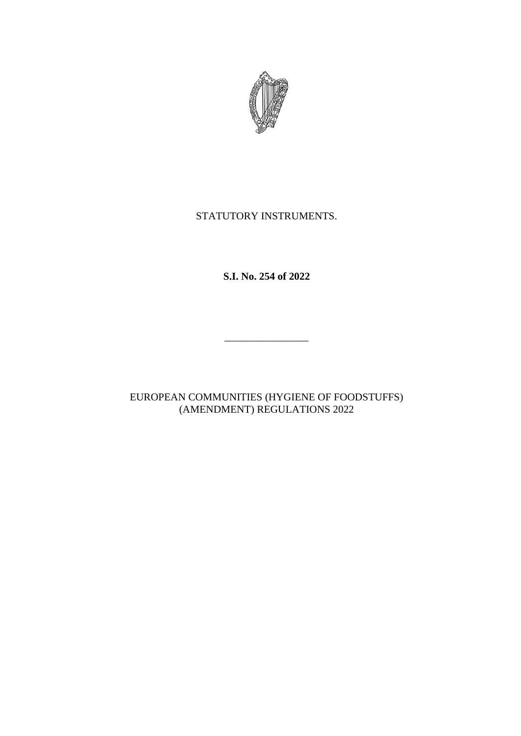

# STATUTORY INSTRUMENTS.

**S.I. No. 254 of 2022**

\_\_\_\_\_\_\_\_\_\_\_\_\_\_\_\_

EUROPEAN COMMUNITIES (HYGIENE OF FOODSTUFFS) (AMENDMENT) REGULATIONS 2022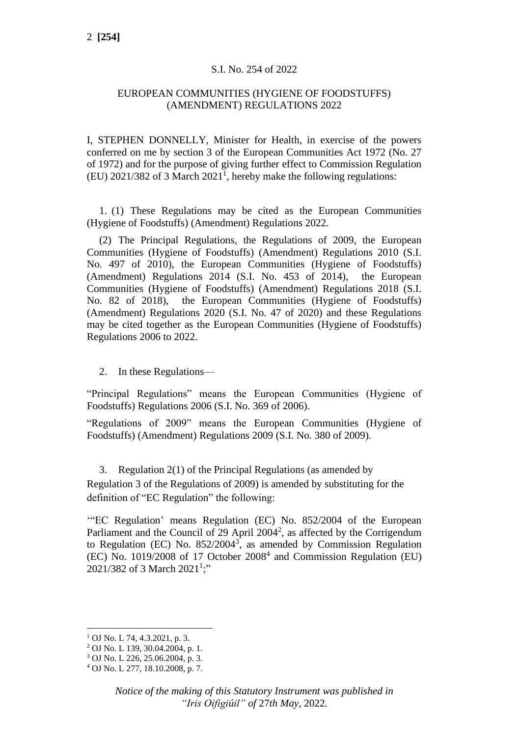#### S.I. No. 254 of 2022

#### EUROPEAN COMMUNITIES (HYGIENE OF FOODSTUFFS) (AMENDMENT) REGULATIONS 2022

I, STEPHEN DONNELLY, Minister for Health, in exercise of the powers conferred on me by section 3 of the European Communities Act 1972 (No. 27 of 1972) and for the purpose of giving further effect to Commission Regulation  $(EU)$  2021/382 of 3 March 2021<sup>1</sup>, hereby make the following regulations:

1. (1) These Regulations may be cited as the European Communities (Hygiene of Foodstuffs) (Amendment) Regulations 2022.

(2) The Principal Regulations, the Regulations of 2009, the European Communities (Hygiene of Foodstuffs) (Amendment) Regulations 2010 (S.I. No. 497 of 2010), the European Communities (Hygiene of Foodstuffs) (Amendment) Regulations 2014 (S.I. No. 453 of 2014), the European Communities (Hygiene of Foodstuffs) (Amendment) Regulations 2018 (S.I. No. 82 of 2018), the European Communities (Hygiene of Foodstuffs) (Amendment) Regulations 2020 (S.I. No. 47 of 2020) and these Regulations may be cited together as the European Communities (Hygiene of Foodstuffs) Regulations 2006 to 2022.

2. In these Regulations—

"Principal Regulations" means the European Communities (Hygiene of Foodstuffs) Regulations 2006 (S.I. No. 369 of 2006).

"Regulations of 2009" means the European Communities (Hygiene of Foodstuffs) (Amendment) Regulations 2009 (S.I. No. 380 of 2009).

3. Regulation 2(1) of the Principal Regulations (as amended by Regulation 3 of the Regulations of 2009) is amended by substituting for the definition of "EC Regulation" the following:

'"EC Regulation' means Regulation (EC) No. 852/2004 of the European Parliament and the Council of 29 April  $2004^2$ , as affected by the Corrigendum to Regulation (EC) No.  $852/2004^3$ , as amended by Commission Regulation (EC) No. 1019/2008 of 17 October 2008<sup>4</sup> and Commission Regulation (EU) 2021/382 of 3 March 2021<sup>1</sup>;"

 $1$  OJ No. L 74, 4.3.2021, p. 3.

<sup>2</sup> OJ No. L 139, 30.04.2004, p. 1.

<sup>3</sup> OJ No. L 226, 25.06.2004, p. 3.

<sup>4</sup> OJ No. L 277, 18.10.2008, p. 7.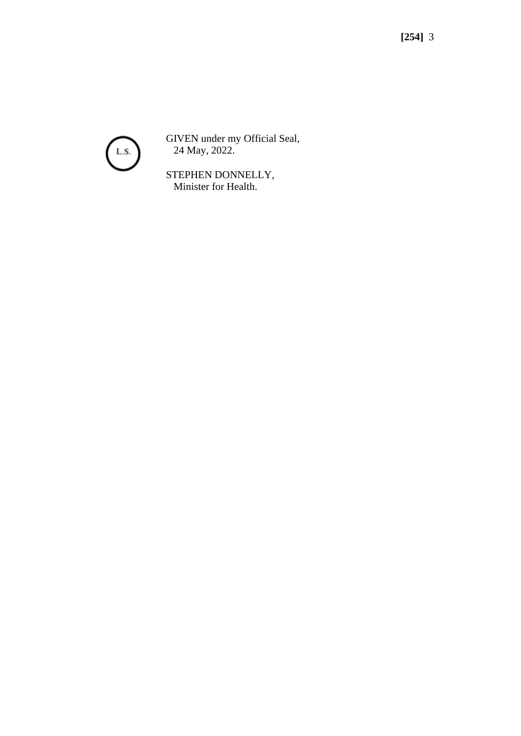

GIVEN under my Official Seal, 24 May, 2022.

STEPHEN DONNELLY, Minister for Health.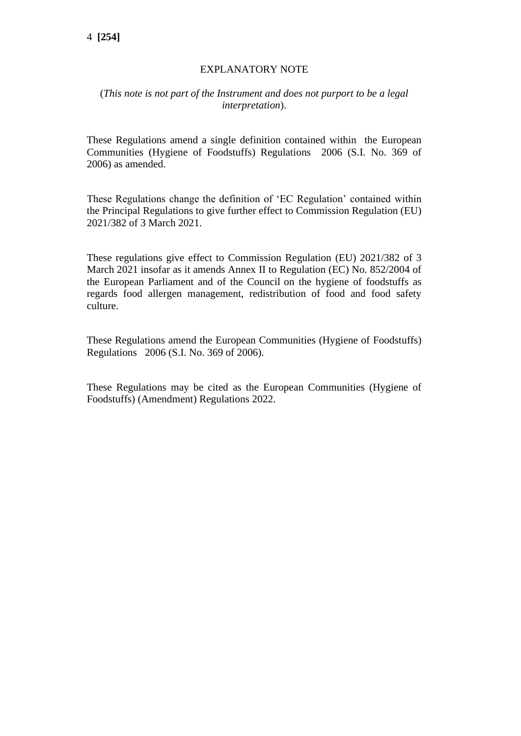## EXPLANATORY NOTE

### (*This note is not part of the Instrument and does not purport to be a legal interpretation*).

These Regulations amend a single definition contained within the European Communities (Hygiene of Foodstuffs) Regulations 2006 (S.I. No. 369 of 2006) as amended.

These Regulations change the definition of 'EC Regulation' contained within the Principal Regulations to give further effect to Commission Regulation (EU) 2021/382 of 3 March 2021.

These regulations give effect to Commission Regulation (EU) 2021/382 of 3 March 2021 insofar as it amends Annex II to Regulation (EC) No. 852/2004 of the European Parliament and of the Council on the hygiene of foodstuffs as regards food allergen management, redistribution of food and food safety culture.

These Regulations amend the European Communities (Hygiene of Foodstuffs) Regulations 2006 (S.I. No. 369 of 2006).

These Regulations may be cited as the European Communities (Hygiene of Foodstuffs) (Amendment) Regulations 2022.